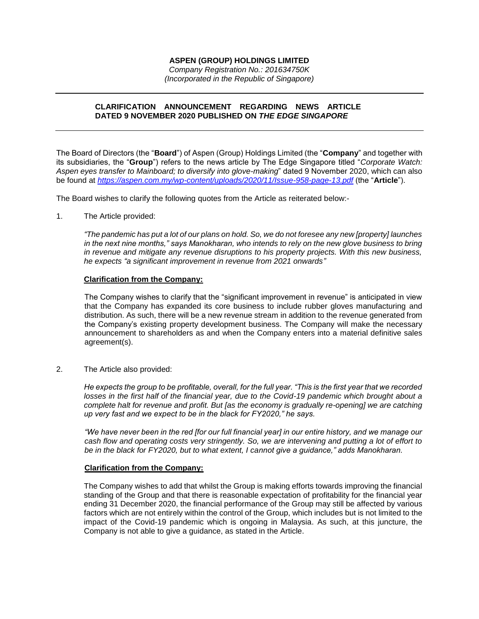## **ASPEN (GROUP) HOLDINGS LIMITED**

*Company Registration No.: 201634750K (Incorporated in the Republic of Singapore)*

## **CLARIFICATION ANNOUNCEMENT REGARDING NEWS ARTICLE DATED 9 NOVEMBER 2020 PUBLISHED ON** *THE EDGE SINGAPORE*

The Board of Directors (the "**Board**") of Aspen (Group) Holdings Limited (the "**Company**" and together with its subsidiaries, the "**Group**") refers to the news article by The Edge Singapore titled "*Corporate Watch: Aspen eyes transfer to Mainboard; to diversify into glove-making*" dated 9 November 2020, which can also be found at *<https://aspen.com.my/wp-content/uploads/2020/11/Issue-958-page-13.pdf>* (the "**Article**").

The Board wishes to clarify the following quotes from the Article as reiterated below:-

1. The Article provided:

*"The pandemic has put a lot of our plans on hold. So, we do not foresee any new [property] launches in the next nine months," says Manokharan, who intends to rely on the new glove business to bring in revenue and mitigate any revenue disruptions to his property projects. With this new business, he expects "a significant improvement in revenue from 2021 onwards"*

### **Clarification from the Company:**

The Company wishes to clarify that the "significant improvement in revenue" is anticipated in view that the Company has expanded its core business to include rubber gloves manufacturing and distribution. As such, there will be a new revenue stream in addition to the revenue generated from the Company's existing property development business. The Company will make the necessary announcement to shareholders as and when the Company enters into a material definitive sales agreement(s).

2. The Article also provided:

*He expects the group to be profitable, overall, for the full year. "This is the first year that we recorded*  losses in the first half of the financial year, due to the Covid-19 pandemic which brought about a *complete halt for revenue and profit. But [as the economy is gradually re-opening] we are catching up very fast and we expect to be in the black for FY2020," he says.*

*"We have never been in the red [for our full financial year] in our entire history, and we manage our cash flow and operating costs very stringently. So, we are intervening and putting a lot of effort to be in the black for FY2020, but to what extent, I cannot give a guidance," adds Manokharan.*

#### **Clarification from the Company:**

The Company wishes to add that whilst the Group is making efforts towards improving the financial standing of the Group and that there is reasonable expectation of profitability for the financial year ending 31 December 2020, the financial performance of the Group may still be affected by various factors which are not entirely within the control of the Group, which includes but is not limited to the impact of the Covid-19 pandemic which is ongoing in Malaysia. As such, at this juncture, the Company is not able to give a guidance, as stated in the Article.